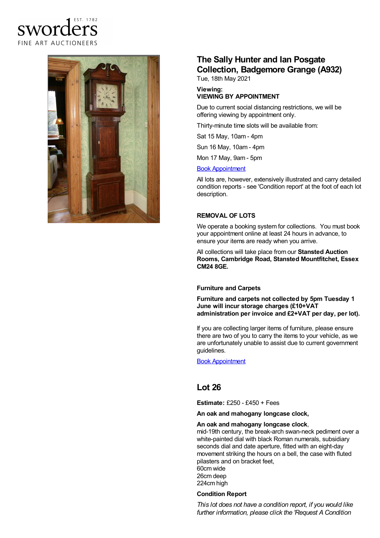## EST. 1782 sworders FINE ART AUCTIONEERS



# **The Sally Hunter and Ian Posgate Collection, Badgemore Grange (A932)**

Tue, 18th May 2021

#### **Viewing: VIEWING BY APPOINTMENT**

Due to current social distancing restrictions, we will be offering viewing by appointment only.

Thirty-minute time slots will be available from:

Sat 15 May, 10am - 4pm

Sun 16 May, 10am - 4pm

Mon 17 May, 9am - 5pm

#### Book [Appointment](https://www.sworder.co.uk/appointments/)

All lots are, however, extensively illustrated and carry detailed condition reports - see 'Condition report' at the foot of each lot description.

### **REMOVAL OF LOTS**

We operate a booking system for collections. You must book your appointment online at least 24 hours in advance, to ensure your items are ready when you arrive.

All collections will take place from our **Stansted Auction Rooms, Cambridge Road, Stansted Mountfitchet, Essex CM24 8GE.**

### **Furniture and Carpets**

**Furniture and carpets not collected by 5pm Tuesday 1 June will incur storage charges (£10+VAT administration per invoice and £2+VAT per day, per lot).**

If you are collecting larger items of furniture, please ensure there are two of you to carry the items to your vehicle, as we are unfortunately unable to assist due to current government guidelines.

Book [Appointment](https://www.sworder.co.uk/appointments/)

### **Lot 26**

**Estimate:** £250 - £450 + Fees

**An oak and mahogany longcase clock,**

#### **An oak and mahogany longcase clock**,

mid-19th century, the break-arch swan-neck pediment over a white-painted dial with black Roman numerals, subsidiary seconds dial and date aperture, fitted with an eight-day movement striking the hours on a bell, the case with fluted pilasters and on bracket feet, 60cm wide 26cm deep 224cm high

### **Condition Report**

*This lot does not have a condition report, if you would like further information, please click the 'Request A Condition*